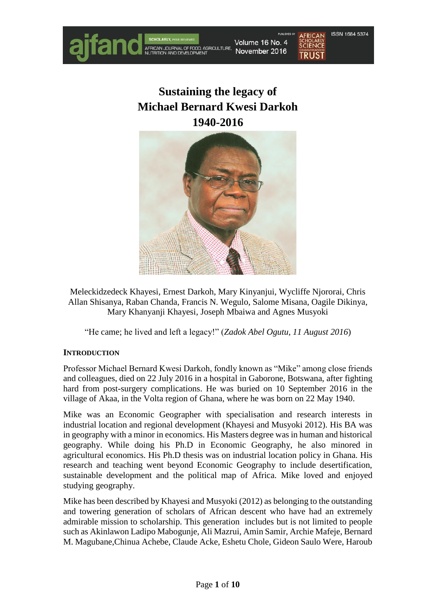

# **Sustaining the legacy of Michael Bernard Kwesi Darkoh 1940-2016**



Meleckidzedeck Khayesi, Ernest Darkoh, Mary Kinyanjui, Wycliffe Njororai, Chris Allan Shisanya, Raban Chanda, Francis N. Wegulo, Salome Misana, Oagile Dikinya, Mary Khanyanji Khayesi, Joseph Mbaiwa and Agnes Musyoki

"He came; he lived and left a legacy!" (*Zadok Abel Ogutu, 11 August 2016*)

## **INTRODUCTION**

Professor Michael Bernard Kwesi Darkoh, fondly known as "Mike" among close friends and colleagues, died on 22 July 2016 in a hospital in Gaborone, Botswana, after fighting hard from post-surgery complications. He was buried on 10 September 2016 in the village of Akaa, in the Volta region of Ghana, where he was born on 22 May 1940.

Mike was an Economic Geographer with specialisation and research interests in industrial location and regional development (Khayesi and Musyoki 2012). His BA was in geography with a minor in economics. His Masters degree was in human and historical geography. While doing his Ph.D in Economic Geography, he also minored in agricultural economics. His Ph.D thesis was on industrial location policy in Ghana. His research and teaching went beyond Economic Geography to include desertification, sustainable development and the political map of Africa. Mike loved and enjoyed studying geography.

Mike has been described by Khayesi and Musyoki (2012) as belonging to the outstanding and towering generation of scholars of African descent who have had an extremely admirable mission to scholarship. This generation includes but is not limited to people such as Akinlawon Ladipo Mabogunje, Ali Mazrui, Amin Samir, Archie Mafeje, Bernard M. Magubane,Chinua Achebe, Claude Acke, Eshetu Chole, Gideon Saulo Were, Haroub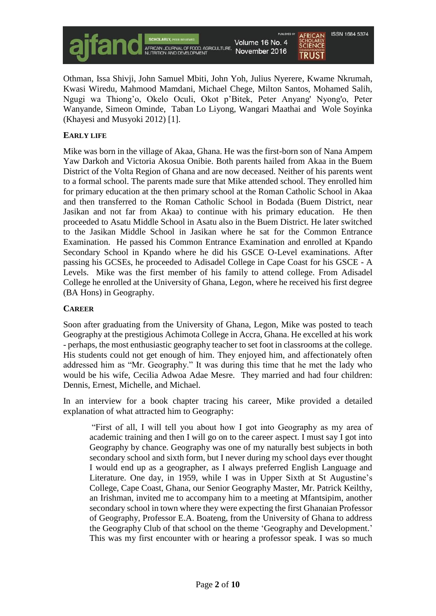

Othman, Issa Shivji, John Samuel Mbiti, John Yoh, Julius Nyerere, Kwame Nkrumah, Kwasi Wiredu, Mahmood Mamdani, Michael Chege, Milton Santos, Mohamed Salih, Ngugi wa Thiong'o, Okelo Oculi, Okot p'Bitek, Peter Anyang' Nyong'o, Peter Wanyande, Simeon Ominde, Taban Lo Liyong, Wangari Maathai and Wole Soyinka (Khayesi and Musyoki 2012) [1].

### **EARLY LIFE**

Mike was born in the village of Akaa, Ghana. He was the first-born son of Nana Ampem Yaw Darkoh and Victoria Akosua Onibie. Both parents hailed from Akaa in the Buem District of the Volta Region of Ghana and are now deceased. Neither of his parents went to a formal school. The parents made sure that Mike attended school. They enrolled him for primary education at the then primary school at the Roman Catholic School in Akaa and then transferred to the Roman Catholic School in Bodada (Buem District, near Jasikan and not far from Akaa) to continue with his primary education. He then proceeded to Asatu Middle School in Asatu also in the Buem District. He later switched to the Jasikan Middle School in Jasikan where he sat for the Common Entrance Examination. He passed his Common Entrance Examination and enrolled at Kpando Secondary School in Kpando where he did his GSCE O-Level examinations. After passing his GCSEs, he proceeded to Adisadel College in Cape Coast for his GSCE - A Levels. Mike was the first member of his family to attend college. From Adisadel College he enrolled at the University of Ghana, Legon, where he received his first degree (BA Hons) in Geography.

#### **CAREER**

Soon after graduating from the University of Ghana, Legon, Mike was posted to teach Geography at the prestigious Achimota College in Accra, Ghana. He excelled at his work - perhaps, the most enthusiastic geography teacher to set foot in classrooms at the college. His students could not get enough of him. They enjoyed him, and affectionately often addressed him as "Mr. Geography." It was during this time that he met the lady who would be his wife, Cecilia Adwoa Adae Mesre. They married and had four children: Dennis, Ernest, Michelle, and Michael.

In an interview for a book chapter tracing his career, Mike provided a detailed explanation of what attracted him to Geography:

"First of all, I will tell you about how I got into Geography as my area of academic training and then I will go on to the career aspect. I must say I got into Geography by chance. Geography was one of my naturally best subjects in both secondary school and sixth form, but I never during my school days ever thought I would end up as a geographer, as I always preferred English Language and Literature. One day, in 1959, while I was in Upper Sixth at St Augustine's College, Cape Coast, Ghana, our Senior Geography Master, Mr. Patrick Keilthy, an Irishman, invited me to accompany him to a meeting at Mfantsipim, another secondary school in town where they were expecting the first Ghanaian Professor of Geography, Professor E.A. Boateng, from the University of Ghana to address the Geography Club of that school on the theme 'Geography and Development.' This was my first encounter with or hearing a professor speak. I was so much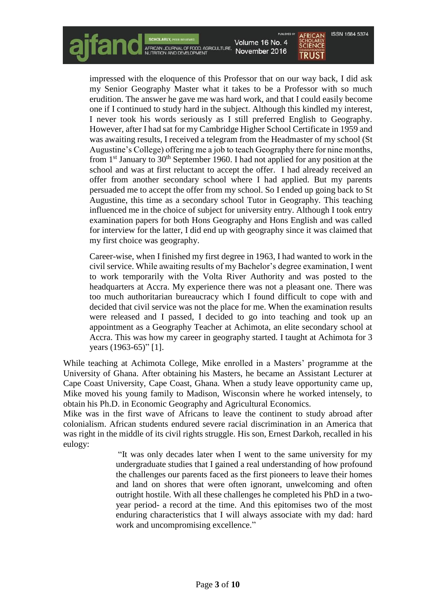Volume 16 No. 4 SCIENCE November 2016 **TRUST** 

**ISSN 1684 5374** 

impressed with the eloquence of this Professor that on our way back, I did ask my Senior Geography Master what it takes to be a Professor with so much erudition. The answer he gave me was hard work, and that I could easily become one if I continued to study hard in the subject. Although this kindled my interest, I never took his words seriously as I still preferred English to Geography. However, after I had sat for my Cambridge Higher School Certificate in 1959 and was awaiting results, I received a telegram from the Headmaster of my school (St Augustine's College) offering me a job to teach Geography there for nine months, from 1<sup>st</sup> January to 30<sup>th</sup> September 1960. I had not applied for any position at the school and was at first reluctant to accept the offer. I had already received an offer from another secondary school where I had applied. But my parents persuaded me to accept the offer from my school. So I ended up going back to St Augustine, this time as a secondary school Tutor in Geography. This teaching influenced me in the choice of subject for university entry. Although I took entry examination papers for both Hons Geography and Hons English and was called for interview for the latter, I did end up with geography since it was claimed that my first choice was geography.

SCHOLANLI, PERMEVENED<br>AFRICAN JOURNAL OF FOOD, AGRICULTURE,<br>NUTRITION AND DEVELOPMENT

Career-wise, when I finished my first degree in 1963, I had wanted to work in the civil service. While awaiting results of my Bachelor's degree examination, I went to work temporarily with the Volta River Authority and was posted to the headquarters at Accra. My experience there was not a pleasant one. There was too much authoritarian bureaucracy which I found difficult to cope with and decided that civil service was not the place for me. When the examination results were released and I passed, I decided to go into teaching and took up an appointment as a Geography Teacher at Achimota, an elite secondary school at Accra. This was how my career in geography started. I taught at Achimota for 3 years (1963-65)" [1].

While teaching at Achimota College, Mike enrolled in a Masters' programme at the University of Ghana. After obtaining his Masters, he became an Assistant Lecturer at Cape Coast University, Cape Coast, Ghana. When a study leave opportunity came up, Mike moved his young family to Madison, Wisconsin where he worked intensely, to obtain his Ph.D. in Economic Geography and Agricultural Economics.

Mike was in the first wave of Africans to leave the continent to study abroad after colonialism. African students endured severe racial discrimination in an America that was right in the middle of its civil rights struggle. His son, Ernest Darkoh, recalled in his eulogy:

> "It was only decades later when I went to the same university for my undergraduate studies that I gained a real understanding of how profound the challenges our parents faced as the first pioneers to leave their homes and land on shores that were often ignorant, unwelcoming and often outright hostile. With all these challenges he completed his PhD in a twoyear period- a record at the time. And this epitomises two of the most enduring characteristics that I will always associate with my dad: hard work and uncompromising excellence."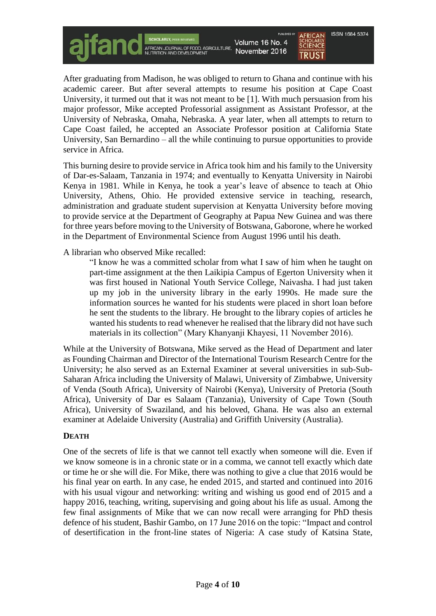Volume 16 No. 4 AFRICAN JOURNAL OF FOOD, AGRICULTURE, November 2016

**ISSN 1684 5374 SCIENCE TRUST** 

After graduating from Madison, he was obliged to return to Ghana and continue with his academic career. But after several attempts to resume his position at Cape Coast University, it turmed out that it was not meant to be [1]. With much persuasion from his major professor, Mike accepted Professorial assignment as Assistant Professor, at the University of Nebraska, Omaha, Nebraska. A year later, when all attempts to return to Cape Coast failed, he accepted an Associate Professor position at California State University, San Bernardino – all the while continuing to pursue opportunities to provide service in Africa.

This burning desire to provide service in Africa took him and his family to the University of Dar-es-Salaam, Tanzania in 1974; and eventually to Kenyatta University in Nairobi Kenya in 1981. While in Kenya, he took a year's leave of absence to teach at Ohio University, Athens, Ohio. He provided extensive service in teaching, research, administration and graduate student supervision at Kenyatta University before moving to provide service at the Department of Geography at Papua New Guinea and was there for three years before moving to the University of Botswana, Gaborone, where he worked in the Department of Environmental Science from August 1996 until his death.

A librarian who observed Mike recalled:

"I know he was a committed scholar from what I saw of him when he taught on part-time assignment at the then Laikipia Campus of Egerton University when it was first housed in National Youth Service College, Naivasha. I had just taken up my job in the university library in the early 1990s. He made sure the information sources he wanted for his students were placed in short loan before he sent the students to the library. He brought to the library copies of articles he wanted his students to read whenever he realised that the library did not have such materials in its collection" (Mary Khanyanji Khayesi, 11 November 2016).

While at the University of Botswana, Mike served as the Head of Department and later as Founding Chairman and Director of the International Tourism Research Centre for the University; he also served as an External Examiner at several universities in sub-Sub-Saharan Africa including the University of Malawi, University of Zimbabwe, University of Venda (South Africa), University of Nairobi (Kenya), University of Pretoria (South Africa), University of Dar es Salaam (Tanzania), University of Cape Town (South Africa), University of Swaziland, and his beloved, Ghana. He was also an external examiner at Adelaide University (Australia) and Griffith University (Australia).

#### **DEATH**

One of the secrets of life is that we cannot tell exactly when someone will die. Even if we know someone is in a chronic state or in a comma, we cannot tell exactly which date or time he or she will die. For Mike, there was nothing to give a clue that 2016 would be his final year on earth. In any case, he ended 2015, and started and continued into 2016 with his usual vigour and networking: writing and wishing us good end of 2015 and a happy 2016, teaching, writing, supervising and going about his life as usual. Among the few final assignments of Mike that we can now recall were arranging for PhD thesis defence of his student, Bashir Gambo, on 17 June 2016 on the topic: "Impact and control of desertification in the front-line states of Nigeria: A case study of Katsina State,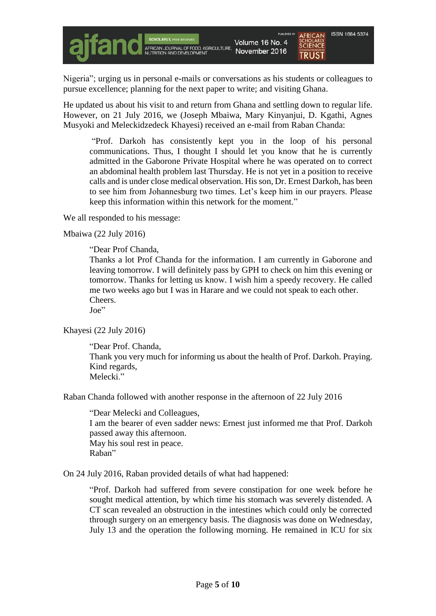Nigeria"; urging us in personal e-mails or conversations as his students or colleagues to pursue excellence; planning for the next paper to write; and visiting Ghana.

He updated us about his visit to and return from Ghana and settling down to regular life. However, on 21 July 2016, we (Joseph Mbaiwa, Mary Kinyanjui, D. Kgathi, Agnes Musyoki and Meleckidzedeck Khayesi) received an e-mail from Raban Chanda:

"Prof. Darkoh has consistently kept you in the loop of his personal communications. Thus, I thought I should let you know that he is currently admitted in the Gaborone Private Hospital where he was operated on to correct an abdominal health problem last Thursday. He is not yet in a position to receive calls and is under close medical observation. His son, Dr. Ernest Darkoh, has been to see him from Johannesburg two times. Let's keep him in our prayers. Please keep this information within this network for the moment."

We all responded to his message:

Mbaiwa (22 July 2016)

"Dear Prof Chanda,

Thanks a lot Prof Chanda for the information. I am currently in Gaborone and leaving tomorrow. I will definitely pass by GPH to check on him this evening or tomorrow. Thanks for letting us know. I wish him a speedy recovery. He called me two weeks ago but I was in Harare and we could not speak to each other. Cheers.

Joe"

#### Khayesi (22 July 2016)

"Dear Prof. Chanda, Thank you very much for informing us about the health of Prof. Darkoh. Praying. Kind regards, Melecki."

Raban Chanda followed with another response in the afternoon of 22 July 2016

"Dear Melecki and Colleagues, I am the bearer of even sadder news: Ernest just informed me that Prof. Darkoh passed away this afternoon. May his soul rest in peace. Raban"

On 24 July 2016, Raban provided details of what had happened:

"Prof. Darkoh had suffered from severe constipation for one week before he sought medical attention, by which time his stomach was severely distended. A CT scan revealed an obstruction in the intestines which could only be corrected through surgery on an emergency basis. The diagnosis was done on Wednesday, July 13 and the operation the following morning. He remained in ICU for six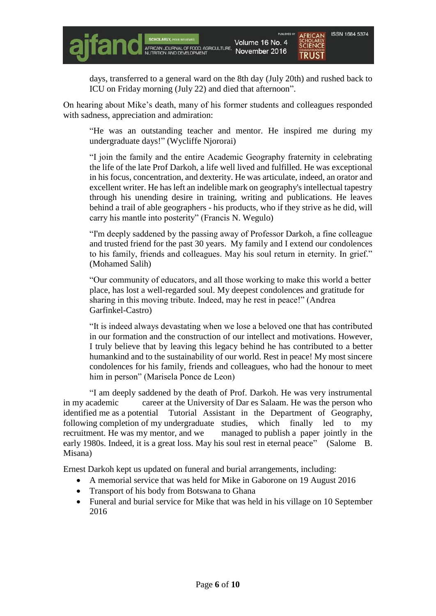days, transferred to a general ward on the 8th day (July 20th) and rushed back to ICU on Friday morning (July 22) and died that afternoon".

On hearing about Mike's death, many of his former students and colleagues responded with sadness, appreciation and admiration:

"He was an outstanding teacher and mentor. He inspired me during my undergraduate days!" (Wycliffe Njororai)

"I join the family and the entire Academic Geography fraternity in celebrating the life of the late Prof Darkoh, a life well lived and fulfilled. He was exceptional in his focus, concentration, and dexterity. He was articulate, indeed, an orator and excellent writer. He has left an indelible mark on geography's intellectual tapestry through his unending desire in training, writing and publications. He leaves behind a trail of able geographers - his products, who if they strive as he did, will carry his mantle into posterity" (Francis N. Wegulo)

"I'm deeply saddened by the passing away of Professor Darkoh, a fine colleague and trusted friend for the past 30 years. My family and I extend our condolences to his family, friends and colleagues. May his soul return in eternity. In grief." (Mohamed Salih)

"Our community of educators, and all those working to make this world a better place, has lost a well-regarded soul. My deepest condolences and gratitude for sharing in this moving tribute. Indeed, may he rest in peace!" (Andrea Garfinkel-Castro)

"It is indeed always devastating when we lose a beloved one that has contributed in our formation and the construction of our intellect and motivations. However, I truly believe that by leaving this legacy behind he has contributed to a better humankind and to the sustainability of our world. Rest in peace! My most sincere condolences for his family, friends and colleagues, who had the honour to meet him in person" (Marisela Ponce de Leon)

"I am deeply saddened by the death of Prof. Darkoh. He was very instrumental in my academic career at the University of Dar es Salaam. He was the person who identified me as a potential Tutorial Assistant in the Department of Geography, following completion of my undergraduate studies, which finally led to my recruitment. He was my mentor, and we managed to publish a paper jointly in the early 1980s. Indeed, it is a great loss. May his soul rest in eternal peace" (Salome B. Misana)

Ernest Darkoh kept us updated on funeral and burial arrangements, including:

- A memorial service that was held for Mike in Gaborone on 19 August 2016
- Transport of his body from Botswana to Ghana
- Funeral and burial service for Mike that was held in his village on 10 September 2016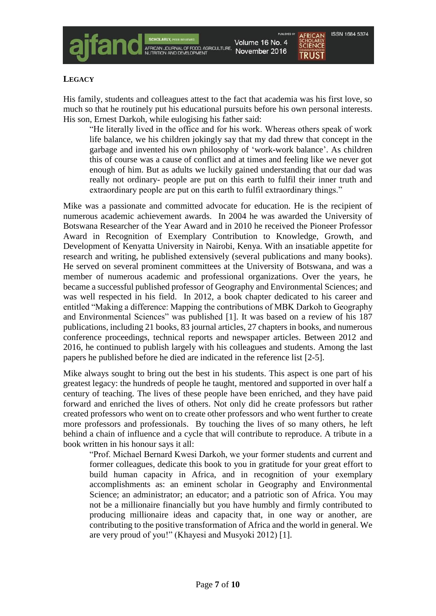His family, students and colleagues attest to the fact that academia was his first love, so much so that he routinely put his educational pursuits before his own personal interests. His son, Ernest Darkoh, while eulogising his father said:

AFRICAN JOURNAL OF FOOD, AGRICULTURE

"He literally lived in the office and for his work. Whereas others speak of work life balance, we his children jokingly say that my dad threw that concept in the garbage and invented his own philosophy of 'work-work balance'. As children this of course was a cause of conflict and at times and feeling like we never got enough of him. But as adults we luckily gained understanding that our dad was really not ordinary- people are put on this earth to fulfil their inner truth and extraordinary people are put on this earth to fulfil extraordinary things."

Mike was a passionate and committed advocate for education. He is the recipient of numerous academic achievement awards. In 2004 he was awarded the University of Botswana Researcher of the Year Award and in 2010 he received the Pioneer Professor Award in Recognition of Exemplary Contribution to Knowledge, Growth, and Development of Kenyatta University in Nairobi, Kenya. With an insatiable appetite for research and writing, he published extensively (several publications and many books). He served on several prominent committees at the University of Botswana, and was a member of numerous academic and professional organizations. Over the years, he became a successful published professor of Geography and Environmental Sciences; and was well respected in his field. In 2012, a book chapter dedicated to his career and entitled "Making a difference: Mapping the contributions of MBK Darkoh to Geography and Environmental Sciences" was published [1]. It was based on a review of his 187 publications, including 21 books, 83 journal articles, 27 chapters in books, and numerous conference proceedings, technical reports and newspaper articles. Between 2012 and 2016, he continued to publish largely with his colleagues and students. Among the last papers he published before he died are indicated in the reference list [2-5].

Mike always sought to bring out the best in his students. This aspect is one part of his greatest legacy: the hundreds of people he taught, mentored and supported in over half a century of teaching. The lives of these people have been enriched, and they have paid forward and enriched the lives of others. Not only did he create professors but rather created professors who went on to create other professors and who went further to create more professors and professionals. By touching the lives of so many others, he left behind a chain of influence and a cycle that will contribute to reproduce. A tribute in a book written in his honour says it all:

"Prof. Michael Bernard Kwesi Darkoh, we your former students and current and former colleagues, dedicate this book to you in gratitude for your great effort to build human capacity in Africa, and in recognition of your exemplary accomplishments as: an eminent scholar in Geography and Environmental Science; an administrator; an educator; and a patriotic son of Africa. You may not be a millionaire financially but you have humbly and firmly contributed to producing millionaire ideas and capacity that, in one way or another, are contributing to the positive transformation of Africa and the world in general. We are very proud of you!" (Khayesi and Musyoki 2012) [1].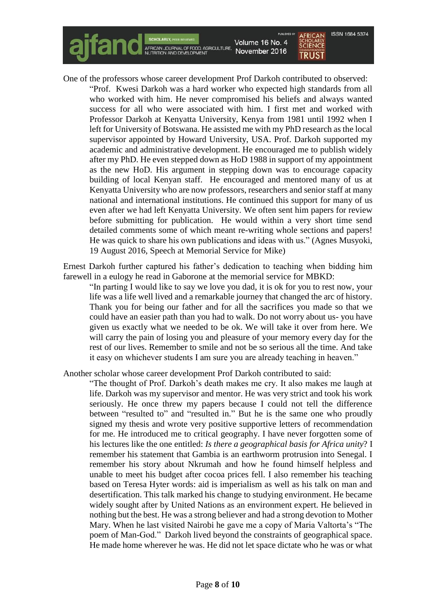

One of the professors whose career development Prof Darkoh contributed to observed:

"Prof. Kwesi Darkoh was a hard worker who expected high standards from all who worked with him. He never compromised his beliefs and always wanted success for all who were associated with him. I first met and worked with Professor Darkoh at Kenyatta University, Kenya from 1981 until 1992 when I left for University of Botswana. He assisted me with my PhD research as the local supervisor appointed by Howard University, USA. Prof. Darkoh supported my academic and administrative development. He encouraged me to publish widely after my PhD. He even stepped down as HoD 1988 in support of my appointment as the new HoD. His argument in stepping down was to encourage capacity building of local Kenyan staff. He encouraged and mentored many of us at Kenyatta University who are now professors, researchers and senior staff at many national and international institutions. He continued this support for many of us even after we had left Kenyatta University. We often sent him papers for review before submitting for publication. He would within a very short time send detailed comments some of which meant re-writing whole sections and papers! He was quick to share his own publications and ideas with us." (Agnes Musyoki, 19 August 2016, Speech at Memorial Service for Mike)

Ernest Darkoh further captured his father's dedication to teaching when bidding him farewell in a eulogy he read in Gaborone at the memorial service for MBKD:

"In parting I would like to say we love you dad, it is ok for you to rest now, your life was a life well lived and a remarkable journey that changed the arc of history. Thank you for being our father and for all the sacrifices you made so that we could have an easier path than you had to walk. Do not worry about us- you have given us exactly what we needed to be ok. We will take it over from here. We will carry the pain of losing you and pleasure of your memory every day for the rest of our lives. Remember to smile and not be so serious all the time. And take it easy on whichever students I am sure you are already teaching in heaven."

Another scholar whose career development Prof Darkoh contributed to said:

"The thought of Prof. Darkoh's death makes me cry. It also makes me laugh at life. Darkoh was my supervisor and mentor. He was very strict and took his work seriously. He once threw my papers because I could not tell the difference between "resulted to" and "resulted in." But he is the same one who proudly signed my thesis and wrote very positive supportive letters of recommendation for me. He introduced me to critical geography. I have never forgotten some of his lectures like the one entitled: *Is there a geographical basis for Africa unity*? I remember his statement that Gambia is an earthworm protrusion into Senegal. I remember his story about Nkrumah and how he found himself helpless and unable to meet his budget after cocoa prices fell. I also remember his teaching based on Teresa Hyter words: aid is imperialism as well as his talk on man and desertification. This talk marked his change to studying environment. He became widely sought after by United Nations as an environment expert. He believed in nothing but the best. He was a strong believer and had a strong devotion to Mother Mary. When he last visited Nairobi he gave me a copy of Maria Valtorta's "The poem of Man-God." Darkoh lived beyond the constraints of geographical space. He made home wherever he was. He did not let space dictate who he was or what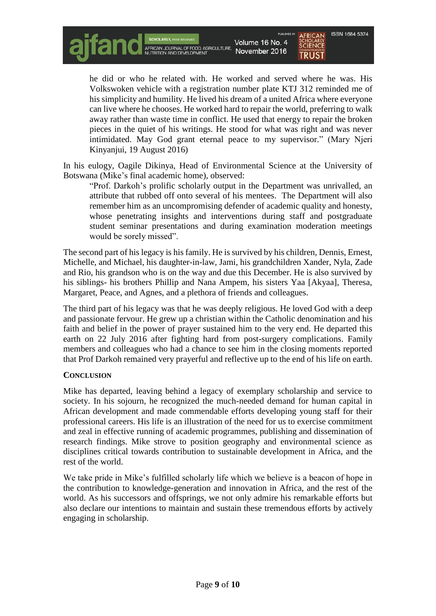SCHOLANLY, HEARDIEWED<br>AFRICAN JOURNAL OF FOOD, AGRICULTURE,<br>NUTRITION AND DEVELOPMENT

Volume 16 No. 4 November 2016

**ISSN 1684 5374 SCIENCE TRUST** 

he did or who he related with. He worked and served where he was. His Volkswoken vehicle with a registration number plate KTJ 312 reminded me of his simplicity and humility. He lived his dream of a united Africa where everyone can live where he chooses. He worked hard to repair the world, preferring to walk away rather than waste time in conflict. He used that energy to repair the broken pieces in the quiet of his writings. He stood for what was right and was never intimidated. May God grant eternal peace to my supervisor." (Mary Njeri Kinyanjui, 19 August 2016)

In his eulogy, Oagile Dikinya, Head of Environmental Science at the University of Botswana (Mike's final academic home), observed:

"Prof. Darkoh's prolific scholarly output in the Department was unrivalled, an attribute that rubbed off onto several of his mentees. The Department will also remember him as an uncompromising defender of academic quality and honesty, whose penetrating insights and interventions during staff and postgraduate student seminar presentations and during examination moderation meetings would be sorely missed".

The second part of his legacy is his family. He is survived by his children, Dennis, Ernest, Michelle, and Michael, his daughter-in-law, Jami, his grandchildren Xander, Nyla, Zade and Rio, his grandson who is on the way and due this December. He is also survived by his siblings- his brothers Phillip and Nana Ampem, his sisters Yaa [Akyaa], Theresa, Margaret, Peace, and Agnes, and a plethora of friends and colleagues.

The third part of his legacy was that he was deeply religious. He loved God with a deep and passionate fervour. He grew up a christian within the Catholic denomination and his faith and belief in the power of prayer sustained him to the very end. He departed this earth on 22 July 2016 after fighting hard from post-surgery complications. Family members and colleagues who had a chance to see him in the closing moments reported that Prof Darkoh remained very prayerful and reflective up to the end of his life on earth.

# **CONCLUSION**

Mike has departed, leaving behind a legacy of exemplary scholarship and service to society. In his sojourn, he recognized the much-needed demand for human capital in African development and made commendable efforts developing young staff for their professional careers. His life is an illustration of the need for us to exercise commitment and zeal in effective running of academic programmes, publishing and dissemination of research findings. Mike strove to position geography and environmental science as disciplines critical towards contribution to sustainable development in Africa, and the rest of the world.

We take pride in Mike's fulfilled scholarly life which we believe is a beacon of hope in the contribution to knowledge-generation and innovation in Africa, and the rest of the world. As his successors and offsprings, we not only admire his remarkable efforts but also declare our intentions to maintain and sustain these tremendous efforts by actively engaging in scholarship.